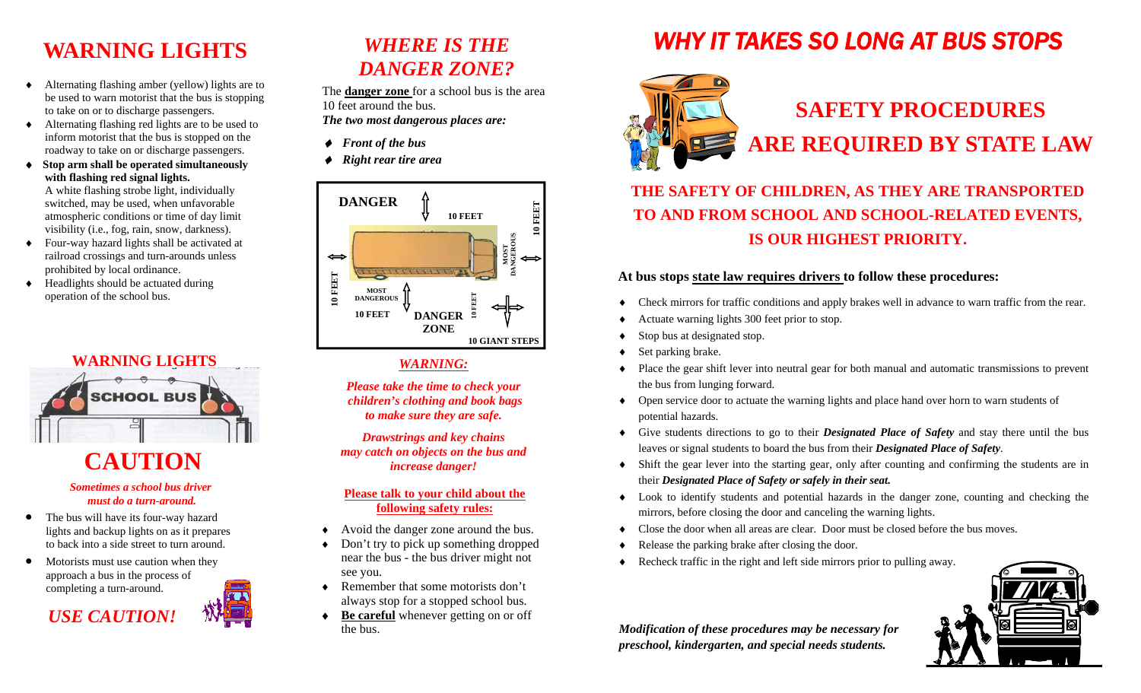## **WARNING LIGHTS**

- ٠ Alternating flashing amber (yellow) lights are to be used to warn motorist that the bus is stopping to take on or to discharge passengers.
- Alternating flashing red lights are to be used to inform motorist that the bus is stopped on the roadway to take on or discharge passengers.
- $\bullet$  **Stop arm shall be operated simultaneously with flashing red signal lights.**  A white flashing strobe light, individually switched, may be used, when unfavorable atmospheric conditions or time of day limit
- visibility (i.e., fog, rain, snow, darkness).  $\bullet$  Four-way hazard lights shall be activated at railroad crossings and turn-arounds unless prohibited by local ordinance.
- $\bullet$  Headlights should be actuated during operation of the school bus.



# **CAUTION**

#### *Sometimes a school bus driver must do a turn-around.*

- $\bullet$  The bus will have its four-way hazard lights and backup lights on as it prepares to back into a side street to turn around.
- $\bullet$  Motorists must use caution when they approach a bus in the process of completing a turn-around.

*USE CAUTION!* 

### *WHERE IS THE DANGER ZONE?*

The **danger zone** for a school bus is the area 10 feet around the bus. *The two most dangerous places are:* 

- ◆ Front of the bus
- *Right rear tire area*



### *WARNING:*

*Please take the time to check your children's clothing and book bags to make sure they are safe.* 

*Drawstrings and key chains may catch on objects on the bus and increase danger!* 

### **Please talk to your child about the following safety rules:**

- Avoid the danger zone around the bus.
- $\bullet$  Don't try to pick up something dropped near the bus - the bus driver might not see you.
- $\triangleleft$  Remember that some motorists don't always stop for a stopped school bus.
- $\bullet$  **Be careful** whenever getting on or off the bus.

# *WHY IT TAKES SO LONG AT BUS STOPS*



# **SAFETY PROCEDURES ARE REQUIRED BY STATE LAW**

### **THE SAFETY OF CHILDREN, AS THEY ARE TRANSPORTED TO AND FROM SCHOOL AND SCHOOL-RELATED EVENTS, IS OUR HIGHEST PRIORITY.**

### **At bus stops state law requires drivers to follow these procedures:**

- $\bullet$ Check mirrors for traffic conditions and apply brakes well in advance to warn traffic from the rear.
- ٠ Actuate warning lights 300 feet prior to stop.
- ٠ Stop bus at designated stop.
- ٠ Set parking brake.
- $\bullet$  Place the gear shift lever into neutral gear for both manual and automatic transmissions to prevent the bus from lunging forward.
- Open service door to actuate the warning lights and place hand over horn to warn students of potential hazards.
- Give students directions to go to their *Designated Place of Safety* and stay there until the bus leaves or signal students to board the bus from their *Designated Place of Safety*.
- Shift the gear lever into the starting gear, only after counting and confirming the students are in their *Designated Place of Safety or safely in their seat.*
- Look to identify students and potential hazards in the danger zone, counting and checking the mirrors, before closing the door and canceling the warning lights.
- ٠ Close the door when all areas are clear. Door must be closed before the bus moves.
- ٠ Release the parking brake after closing the door.
- $\bullet$ Recheck traffic in the right and left side mirrors prior to pulling away.



*Modification of these procedures may be necessary for preschool, kindergarten, and special needs students.*